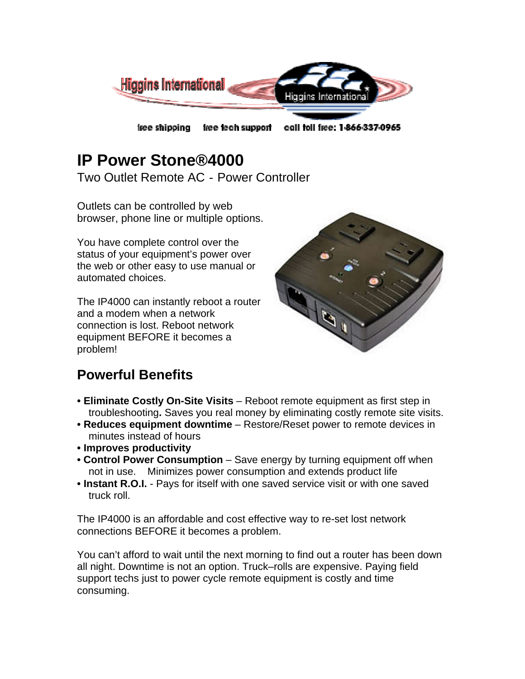

# **IP Power Stone®4000**

Two Outlet Remote AC‐Power Controller

Outlets can be controlled by web browser, phone line or multiple options.

You have complete control over the status of your equipment's power over the web or other easy to use manual or automated choices.

The IP4000 can instantly reboot a router and a modem when a network connection is lost. Reboot network equipment BEFORE it becomes a problem!



# **Powerful Benefits**

- **Eliminate Costly On-Site Visits** Reboot remote equipment as first step in troubleshooting**.** Saves you real money by eliminating costly remote site visits.
- **Reduces equipment downtime**  Restore/Reset power to remote devices in minutes instead of hours
- **Improves productivity**
- **Control Power Consumption** Save energy by turning equipment off when not in use. Minimizes power consumption and extends product life
- **Instant R.O.I.**  Pays for itself with one saved service visit or with one saved truck roll.

The IP4000 is an affordable and cost effective way to re-set lost network connections BEFORE it becomes a problem.

You can't afford to wait until the next morning to find out a router has been down all night. Downtime is not an option. Truck–rolls are expensive. Paying field support techs just to power cycle remote equipment is costly and time consuming.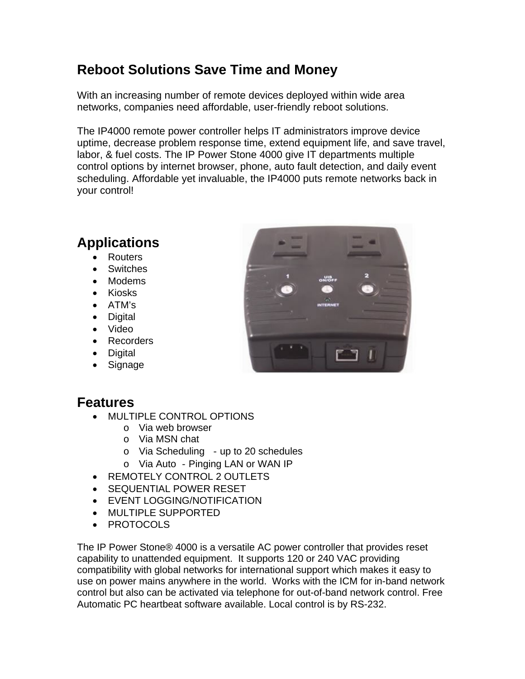### **Reboot Solutions Save Time and Money**

With an increasing number of remote devices deployed within wide area networks, companies need affordable, user-friendly reboot solutions.

The IP4000 remote power controller helps IT administrators improve device uptime, decrease problem response time, extend equipment life, and save travel, labor, & fuel costs. The IP Power Stone 4000 give IT departments multiple control options by internet browser, phone, auto fault detection, and daily event scheduling. Affordable yet invaluable, the IP4000 puts remote networks back in your control!

# **Applications**

- **Routers**
- **Switches**
- Modems
- Kiosks
- ATM's
- Digital
- Video
- Recorders
- Digital
- **Signage**

#### **Features**

- MULTIPLE CONTROL OPTIONS
	- o Via web browser
	- o Via MSN chat
	- o Via Scheduling ‐up to 20 schedules
	- o Via Auto ‐Pinging LAN or WAN IP
- REMOTELY CONTROL 2 OUTLETS
- SEQUENTIAL POWER RESET
- EVENT LOGGING/NOTIFICATION
- MULTIPLE SUPPORTED
- **PROTOCOLS**

The IP Power Stone® 4000 is a versatile AC power controller that provides reset capability to unattended equipment. It supports 120 or 240 VAC providing compatibility with global networks for international support which makes it easy to use on power mains anywhere in the world. Works with the ICM for in-band network control but also can be activated via telephone for out-of-band network control. Free Automatic PC heartbeat software available. Local control is by RS-232.